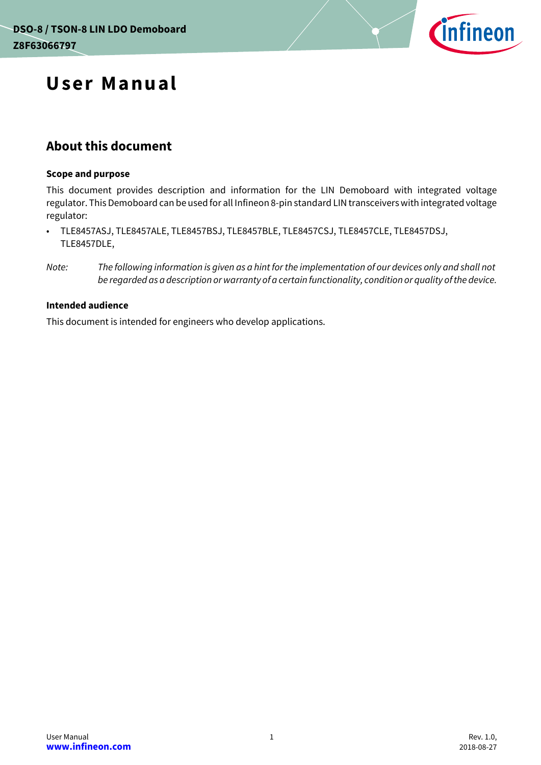

# **User Manual**

## **About this document**

#### **Scope and purpose**

This document provides description and information for the LIN Demoboard with integrated voltage regulator. This Demoboard can be used for all Infineon 8-pin standard LIN transceivers with integrated voltage regulator:

• TLE8457ASJ, TLE8457ALE, TLE8457BSJ, TLE8457BLE, TLE8457CSJ, TLE8457CLE, TLE8457DSJ, TLE8457DLE,

#### **Intended audience**

This document is intended for engineers who develop applications.

*Note: The following information is given as a hint for the implementation of our devices only and shall not be regarded as a description or warranty of a certain functionality, condition or quality of the device.*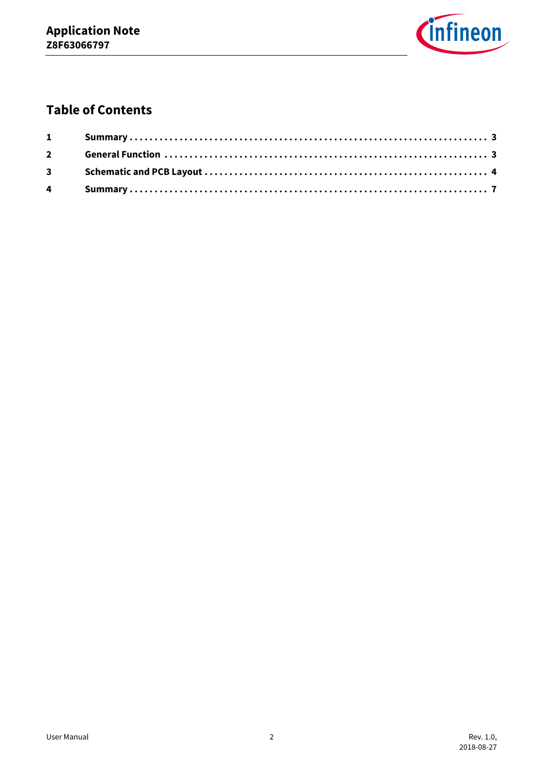

## **Table of Contents**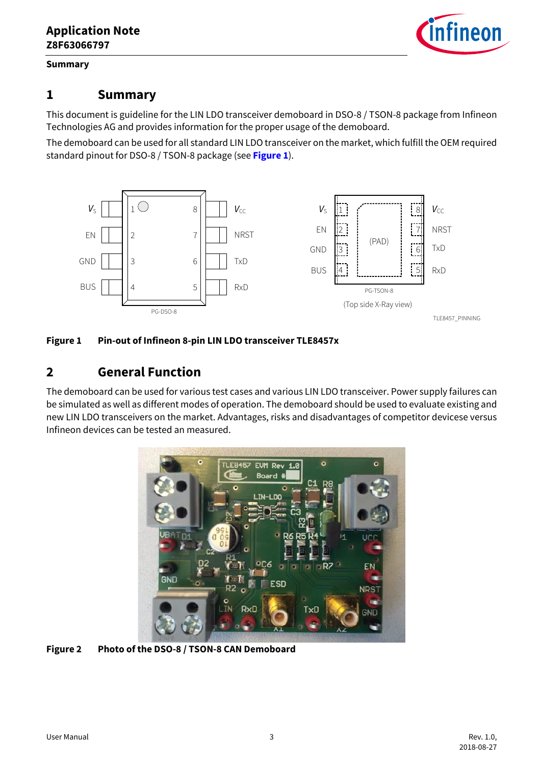

#### **Summary**

## <span id="page-2-0"></span>**1 Summary**

This document is guideline for the LIN LDO transceiver demoboard in DSO-8 / TSON-8 package from Infineon Technologies AG and provides information for the proper usage of the demoboard.

The demoboard can be used for all standard LIN LDO transceiver on the market, which fulfill the OEM required standard pinout for DSO-8 / TSON-8 package (see **[Figure 1](#page-2-2)**).



#### <span id="page-2-2"></span>**Figure 1 Pin-out of Infineon 8-pin LIN LDO transceiver TLE8457x**

## <span id="page-2-1"></span>**2 General Function**

The demoboard can be used for various test cases and various LIN LDO transceiver. Power supply failures can be simulated as well as different modes of operation. The demoboard should be used to evaluate existing and new LIN LDO transceivers on the market. Advantages, risks and disadvantages of competitor devicese versus Infineon devices can be tested an measured.



**Figure 2 Photo of the DSO-8 / TSON-8 CAN Demoboard**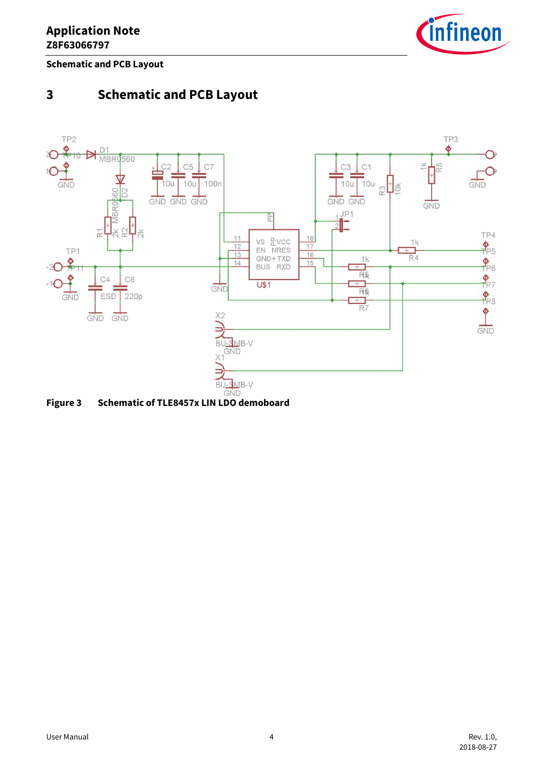

**Schematic and PCB Layout**

## <span id="page-3-0"></span>**3 Schematic and PCB Layout**



**Figure 3 Schematic of TLE8457x LIN LDO demoboard**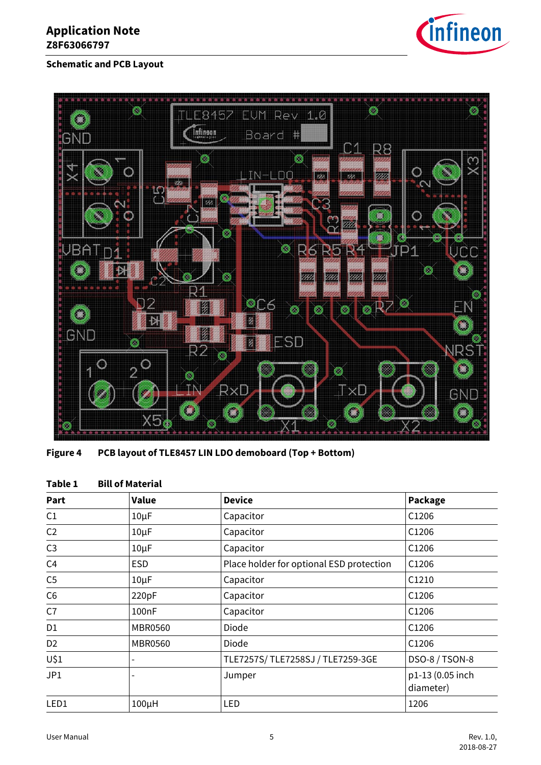## **Application Note Z8F63066797**



### **Schematic and PCB Layout**



**Figure 4 PCB layout of TLE8457 LIN LDO demoboard (Top + Bottom)**

|  | Table 1 |  | <b>Bill of Material</b> |  |
|--|---------|--|-------------------------|--|
|--|---------|--|-------------------------|--|

| Part           | Value              | <b>Device</b>                            | Package                       |
|----------------|--------------------|------------------------------------------|-------------------------------|
| C1             | $10\mu F$          | Capacitor                                | C1206                         |
| C <sub>2</sub> | $10\mu F$          | Capacitor                                | C1206                         |
| C <sub>3</sub> | $10\mu F$          | Capacitor                                | C1206                         |
| C <sub>4</sub> | <b>ESD</b>         | Place holder for optional ESD protection | C1206                         |
| C <sub>5</sub> | $10\mu F$          | Capacitor                                | C1210                         |
| C6             | 220pF              | Capacitor                                | C1206                         |
| C7             | 100 <sub>n</sub> F | Capacitor                                | C1206                         |
| D1             | <b>MBR0560</b>     | <b>Diode</b>                             | C1206                         |
| D <sub>2</sub> | <b>MBR0560</b>     | Diode                                    | C1206                         |
| U\$1           |                    | TLE7257S/TLE7258SJ/TLE7259-3GE           | DSO-8 / TSON-8                |
| JP1            | ۰                  | Jumper                                   | p1-13 (0.05 inch<br>diameter) |
| LED1           | $100\mu H$         | LED                                      | 1206                          |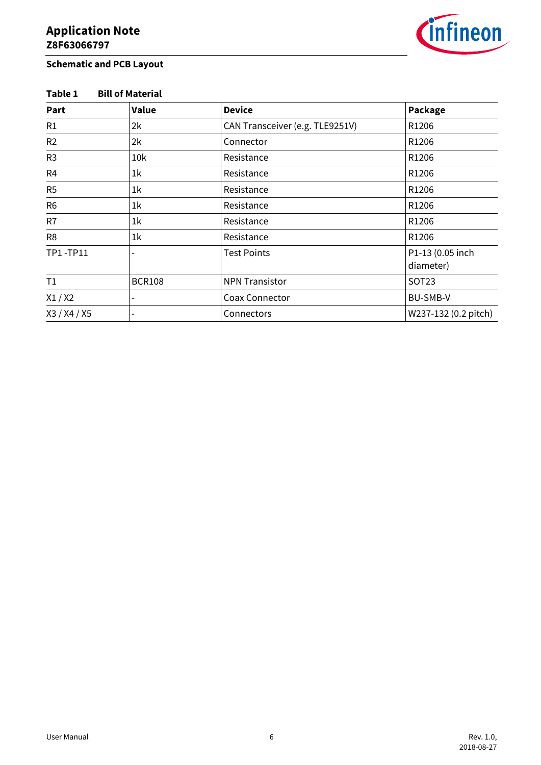

### **Schematic and PCB Layout**

### **Table 1 Bill of Material**

| Part           | Value                    | <b>Device</b>                   | Package                       |
|----------------|--------------------------|---------------------------------|-------------------------------|
| R1             | 2k                       | CAN Transceiver (e.g. TLE9251V) | R1206                         |
| R2             | 2k                       | Connector                       | R1206                         |
| R <sub>3</sub> | 10k                      | Resistance                      | R1206                         |
| R <sub>4</sub> | 1 <sup>k</sup>           | Resistance                      | R1206                         |
| R <sub>5</sub> | 1 <sup>k</sup>           | Resistance                      | R1206                         |
| R <sub>6</sub> | 1 <sup>k</sup>           | Resistance                      | R1206                         |
| R7             | 1 <sup>k</sup>           | Resistance                      | R1206                         |
| R <sub>8</sub> | 1 <sup>k</sup>           | Resistance                      | R1206                         |
| TP1-TP11       |                          | <b>Test Points</b>              | P1-13 (0.05 inch<br>diameter) |
| T1             | <b>BCR108</b>            | <b>NPN Transistor</b>           | <b>SOT23</b>                  |
| X1/X2          | $\overline{\phantom{a}}$ | Coax Connector                  | <b>BU-SMB-V</b>               |
| X3 / X4 / X5   |                          | Connectors                      | W237-132 (0.2 pitch)          |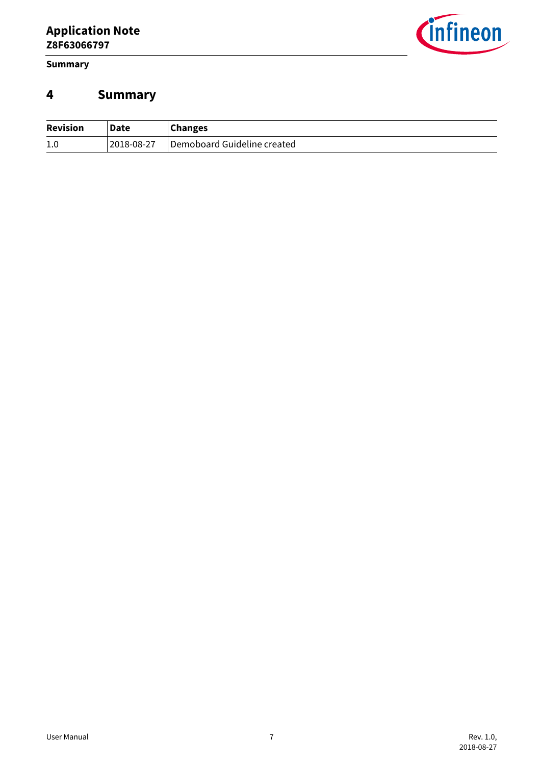**Summary**



## <span id="page-6-0"></span>**4 Summary**

| <b>Revision</b> | <b>Date</b> | <b>Changes</b>              |
|-----------------|-------------|-----------------------------|
| 1.0             | 2018-08-27  | Demoboard Guideline created |